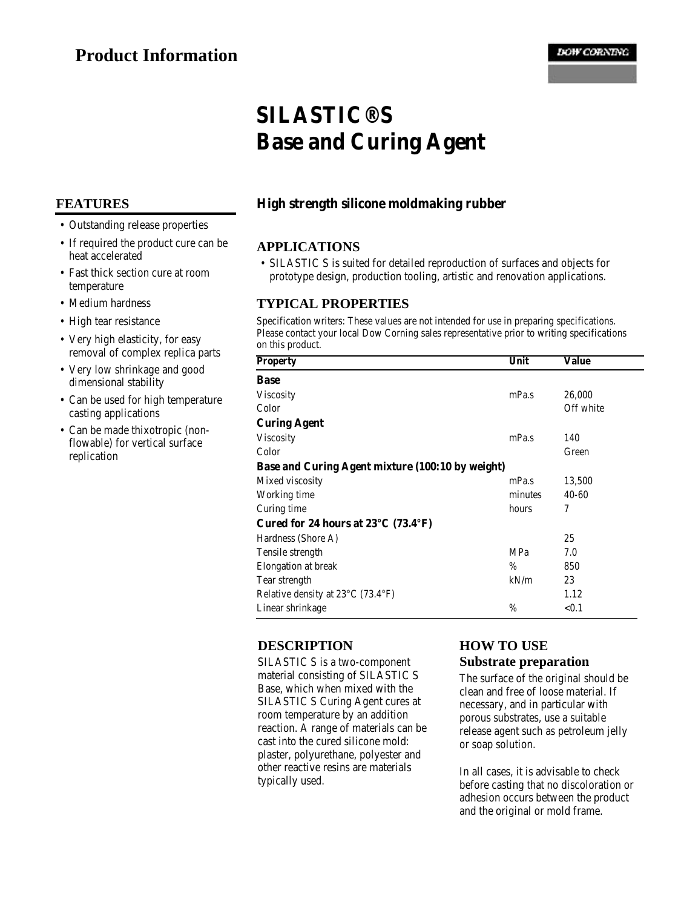# **SILASTIC® S Base and Curing Agent**

#### **FEATURES**

- Outstanding release properties
- If required the product cure can be heat accelerated
- Fast thick section cure at room temperature
- Medium hardness
- High tear resistance
- Very high elasticity, for easy removal of complex replica parts
- Very low shrinkage and good dimensional stability
- Can be used for high temperature casting applications
- Can be made thixotropic (non-• flowable) for vertical surface replication

# **High strength silicone moldmaking rubber**

#### **APPLICATIONS**

• SILASTIC S is suited for detailed reproduction of surfaces and objects for prototype design, production tooling, artistic and renovation applications.

#### **TYPICAL PROPERTIES**

Specification writers: These values are not intended for use in preparing specifications. Please contact your local Dow Corning sales representative prior to writing specifications on this product.

| <b>Property</b>                                          | Unit    | Value     |
|----------------------------------------------------------|---------|-----------|
| <b>Base</b>                                              |         |           |
| <b>Viscosity</b>                                         | mPa.s   | 26,000    |
| Color                                                    |         | Off white |
| <b>Curing Agent</b>                                      |         |           |
| <b>Viscosity</b>                                         | mPa.s   | 140       |
| Color                                                    |         | Green     |
| Base and Curing Agent mixture (100:10 by weight)         |         |           |
| Mixed viscosity                                          | mPa.s   | 13,500    |
| Working time                                             | minutes | $40 - 60$ |
| Curing time                                              | hours   | 7         |
| Cured for 24 hours at $23^{\circ}$ C (73.4 $^{\circ}$ F) |         |           |
| Hardness (Shore A)                                       |         | 25        |
| Tensile strength                                         | MPa     | 7.0       |
| Elongation at break                                      | %       | 850       |
| Tear strength                                            | kN/m    | 23        |
| Relative density at 23°C (73.4°F)                        |         | 1.12      |
| Linear shrinkage                                         | %       | < 0.1     |

#### **DESCRIPTION**

SILASTIC S is a two-component material consisting of SILASTIC S Base, which when mixed with the SILASTIC S Curing Agent cures at room temperature by an addition reaction. A range of materials can be cast into the cured silicone mold: plaster, polyurethane, polyester and other reactive resins are materials typically used.

# **HOW TO USE**

**Substrate preparation**

The surface of the original should be clean and free of loose material. If necessary, and in particular with porous substrates, use a suitable release agent such as petroleum jelly or soap solution.

In all cases, it is advisable to check before casting that no discoloration or adhesion occurs between the product and the original or mold frame.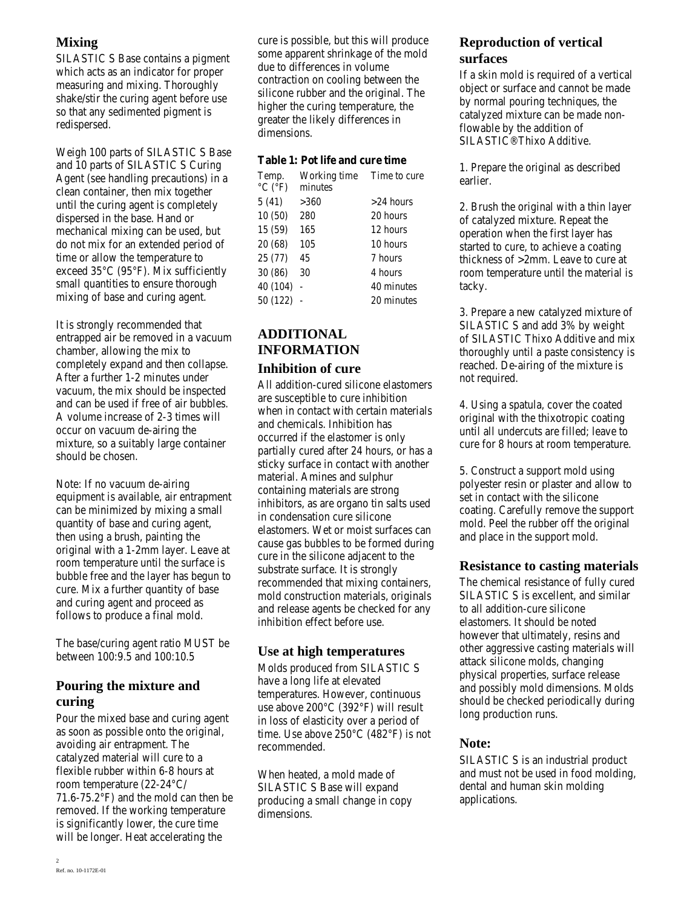# **Mixing**

SILASTIC S Base contains a pigment which acts as an indicator for proper measuring and mixing. Thoroughly shake/stir the curing agent before use so that any sedimented pigment is redispersed.

Weigh 100 parts of SILASTIC S Base and 10 parts of SILASTIC S Curing Agent (see handling precautions) in a clean container, then mix together until the curing agent is completely dispersed in the base. Hand or mechanical mixing can be used, but do not mix for an extended period of time or allow the temperature to exceed 35°C (95°F). Mix sufficiently small quantities to ensure thorough mixing of base and curing agent.

It is strongly recommended that entrapped air be removed in a vacuum chamber, allowing the mix to completely expand and then collapse. After a further 1-2 minutes under vacuum, the mix should be inspected and can be used if free of air bubbles. A volume increase of 2-3 times will occur on vacuum de-airing the mixture, so a suitably large container should be chosen.

Note: If no vacuum de-airing equipment is available, air entrapment can be minimized by mixing a small quantity of base and curing agent, then using a brush, painting the original with a 1-2mm layer. Leave at room temperature until the surface is bubble free and the layer has begun to cure. Mix a further quantity of base and curing agent and proceed as follows to produce a final mold.

The base/curing agent ratio MUST be between 100:9.5 and 100:10.5

# **Pouring the mixture and curing**

Pour the mixed base and curing agent as soon as possible onto the original, avoiding air entrapment. The catalyzed material will cure to a flexible rubber within 6-8 hours at room temperature (22-24°C/ 71.6-75.2 $\degree$ F) and the mold can then be removed. If the working temperature is significantly lower, the cure time will be longer. Heat accelerating the

cure is possible, but this will produce some apparent shrinkage of the mold due to differences in volume contraction on cooling between the silicone rubber and the original. The higher the curing temperature, the greater the likely differences in dimensions.

#### **Table 1: Pot life and cure time**

| Temp.                        | Working time | Time to cure |
|------------------------------|--------------|--------------|
| $^{\circ}$ C ( $^{\circ}$ F) | minutes      |              |
| 5(41)                        | >360         | $>$ 24 hours |
| 10(50)                       | 280          | 20 hours     |
| 15 (59)                      | 165          | 12 hours     |
| 20 (68)                      | 105          | 10 hours     |
| 25 (77)                      | 45           | 7 hours      |
| 30 (86)                      | 30           | 4 hours      |
| 40 (104)                     |              | 40 minutes   |
| 50 (122)                     |              | 20 minutes   |
|                              |              |              |

## **ADDITIONAL INFORMATION Inhibition of cure**

All addition-cured silicone elastomers are susceptible to cure inhibition when in contact with certain materials and chemicals. Inhibition has occurred if the elastomer is only partially cured after 24 hours, or has a sticky surface in contact with another material. Amines and sulphur containing materials are strong inhibitors, as are organo tin salts used in condensation cure silicone elastomers. Wet or moist surfaces can cause gas bubbles to be formed during cure in the silicone adjacent to the substrate surface. It is strongly recommended that mixing containers, mold construction materials, originals and release agents be checked for any inhibition effect before use.

## **Use at high temperatures**

Molds produced from SILASTIC S have a long life at elevated temperatures. However, continuous use above 200°C (392°F) will result in loss of elasticity over a period of time. Use above  $250^{\circ}$ C (482°F) is not recommended.

When heated, a mold made of SILASTIC S Base will expand producing a small change in copy dimensions.

# **Reproduction of vertical surfaces**

If a skin mold is required of a vertical object or surface and cannot be made by normal pouring techniques, the catalyzed mixture can be made nonflowable by the addition of SILASTIC® Thixo Additive.

1. Prepare the original as described earlier.

2. Brush the original with a thin layer of catalyzed mixture. Repeat the operation when the first layer has started to cure, to achieve a coating thickness of >2mm. Leave to cure at room temperature until the material is tacky.

3. Prepare a new catalyzed mixture of SILASTIC S and add 3% by weight of SILASTIC Thixo Additive and mix thoroughly until a paste consistency is reached. De-airing of the mixture is not required.

4. Using a spatula, cover the coated original with the thixotropic coating until all undercuts are filled; leave to cure for 8 hours at room temperature.

5. Construct a support mold using polyester resin or plaster and allow to set in contact with the silicone coating. Carefully remove the support mold. Peel the rubber off the original and place in the support mold.

## **Resistance to casting materials**

The chemical resistance of fully cured SILASTIC S is excellent, and similar to all addition-cure silicone elastomers. It should be noted however that ultimately, resins and other aggressive casting materials will attack silicone molds, changing physical properties, surface release and possibly mold dimensions. Molds should be checked periodically during long production runs.

## **Note:**

SILASTIC S is an industrial product and must not be used in food molding, dental and human skin molding applications.